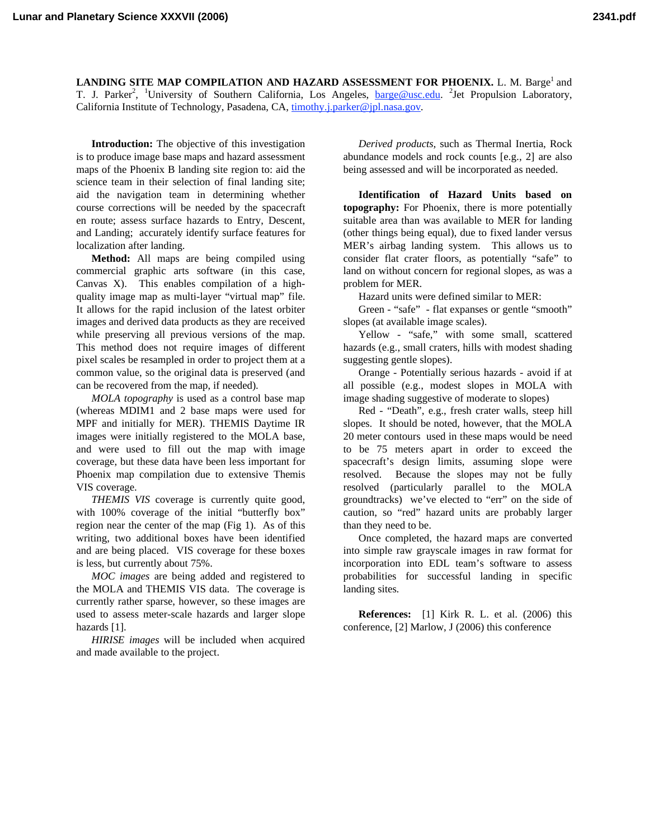**LANDING SITE MAP COMPILATION AND HAZARD ASSESSMENT FOR PHOENIX.** L. M. Barge<sup>1</sup> and T. J. Parker<sup>2</sup>, <sup>1</sup>University of Southern California, Los Angeles, **barge@usc.edu.** <sup>2</sup>Jet Propulsion Laboratory, California Institute of Technology, Pasadena, CA, timothy.j.parker@jpl.nasa.gov.

**Introduction:** The objective of this investigation is to produce image base maps and hazard assessment maps of the Phoenix B landing site region to: aid the science team in their selection of final landing site; aid the navigation team in determining whether course corrections will be needed by the spacecraft en route; assess surface hazards to Entry, Descent, and Landing; accurately identify surface features for localization after landing.

**Method:** All maps are being compiled using commercial graphic arts software (in this case, Canvas X). This enables compilation of a highquality image map as multi-layer "virtual map" file. It allows for the rapid inclusion of the latest orbiter images and derived data products as they are received while preserving all previous versions of the map. This method does not require images of different pixel scales be resampled in order to project them at a common value, so the original data is preserved (and can be recovered from the map, if needed).

*MOLA topography* is used as a control base map (whereas MDIM1 and 2 base maps were used for MPF and initially for MER). THEMIS Daytime IR images were initially registered to the MOLA base, and were used to fill out the map with image coverage, but these data have been less important for Phoenix map compilation due to extensive Themis VIS coverage.

*THEMIS VIS* coverage is currently quite good, with 100% coverage of the initial "butterfly box" region near the center of the map (Fig 1). As of this writing, two additional boxes have been identified and are being placed. VIS coverage for these boxes is less, but currently about 75%.

*MOC images* are being added and registered to the MOLA and THEMIS VIS data. The coverage is currently rather sparse, however, so these images are used to assess meter-scale hazards and larger slope hazards [1].

*HIRISE images* will be included when acquired and made available to the project.

*Derived products,* such as Thermal Inertia, Rock abundance models and rock counts [e.g., 2] are also being assessed and will be incorporated as needed.

**Identification of Hazard Units based on topography:** For Phoenix, there is more potentially suitable area than was available to MER for landing (other things being equal), due to fixed lander versus MER's airbag landing system. This allows us to consider flat crater floors, as potentially "safe" to land on without concern for regional slopes, as was a problem for MER.

Hazard units were defined similar to MER:

Green - "safe" - flat expanses or gentle "smooth" slopes (at available image scales).

Yellow - "safe," with some small, scattered hazards (e.g., small craters, hills with modest shading suggesting gentle slopes).

Orange - Potentially serious hazards - avoid if at all possible (e.g., modest slopes in MOLA with image shading suggestive of moderate to slopes)

Red - "Death", e.g., fresh crater walls, steep hill slopes. It should be noted, however, that the MOLA 20 meter contours used in these maps would be need to be 75 meters apart in order to exceed the spacecraft's design limits, assuming slope were resolved. Because the slopes may not be fully resolved (particularly parallel to the MOLA groundtracks) we've elected to "err" on the side of caution, so "red" hazard units are probably larger than they need to be.

Once completed, the hazard maps are converted into simple raw grayscale images in raw format for incorporation into EDL team's software to assess probabilities for successful landing in specific landing sites.

**References:** [1] Kirk R. L. et al. (2006) this conference, [2] Marlow, J (2006) this conference